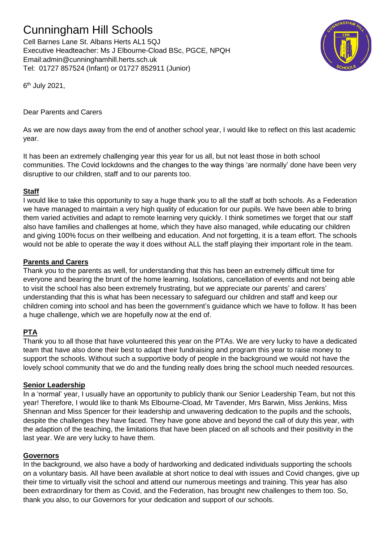# Cunningham Hill Schools

Cell Barnes Lane St. Albans Herts AL1 5QJ Executive Headteacher: Ms J Elbourne-Cload BSc, PGCE, NPQH Email:admin@cunninghamhill.herts.sch.uk Tel: 01727 857524 (Infant) or 01727 852911 (Junior)



6<sup>th</sup> July 2021,

# Dear Parents and Carers

As we are now days away from the end of another school year, I would like to reflect on this last academic year.

It has been an extremely challenging year this year for us all, but not least those in both school communities. The Covid lockdowns and the changes to the way things 'are normally' done have been very disruptive to our children, staff and to our parents too.

## **Staff**

I would like to take this opportunity to say a huge thank you to all the staff at both schools. As a Federation we have managed to maintain a very high quality of education for our pupils. We have been able to bring them varied activities and adapt to remote learning very quickly. I think sometimes we forget that our staff also have families and challenges at home, which they have also managed, while educating our children and giving 100% focus on their wellbeing and education. And not forgetting, it is a team effort. The schools would not be able to operate the way it does without ALL the staff playing their important role in the team.

## **Parents and Carers**

Thank you to the parents as well, for understanding that this has been an extremely difficult time for everyone and bearing the brunt of the home learning. Isolations, cancellation of events and not being able to visit the school has also been extremely frustrating, but we appreciate our parents' and carers' understanding that this is what has been necessary to safeguard our children and staff and keep our children coming into school and has been the government's guidance which we have to follow. It has been a huge challenge, which we are hopefully now at the end of.

# **PTA**

Thank you to all those that have volunteered this year on the PTAs. We are very lucky to have a dedicated team that have also done their best to adapt their fundraising and program this year to raise money to support the schools. Without such a supportive body of people in the background we would not have the lovely school community that we do and the funding really does bring the school much needed resources.

## **Senior Leadership**

In a 'normal' year, I usually have an opportunity to publicly thank our Senior Leadership Team, but not this year! Therefore, I would like to thank Ms Elbourne-Cload, Mr Tavender, Mrs Barwin, Miss Jenkins, Miss Shennan and Miss Spencer for their leadership and unwavering dedication to the pupils and the schools, despite the challenges they have faced. They have gone above and beyond the call of duty this year, with the adaption of the teaching, the limitations that have been placed on all schools and their positivity in the last year. We are very lucky to have them.

#### **Governors**

In the background, we also have a body of hardworking and dedicated individuals supporting the schools on a voluntary basis. All have been available at short notice to deal with issues and Covid changes, give up their time to virtually visit the school and attend our numerous meetings and training. This year has also been extraordinary for them as Covid, and the Federation, has brought new challenges to them too. So, thank you also, to our Governors for your dedication and support of our schools.